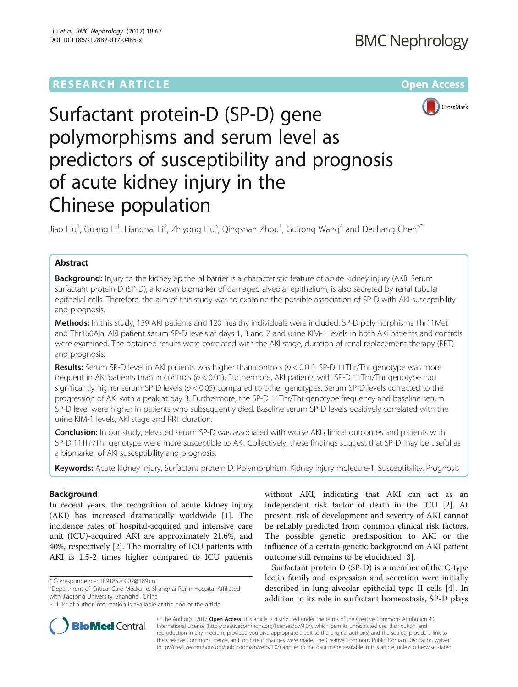# **RESEARCH ARTICLE Example 2014 12:30 The Contract of Contract ACCESS**



# Surfactant protein-D (SP-D) gene polymorphisms and serum level as predictors of susceptibility and prognosis of acute kidney injury in the Chinese population

Jiao Liu<sup>1</sup>, Guang Li<sup>1</sup>, Lianghai Li<sup>2</sup>, Zhiyong Liu<sup>3</sup>, Qingshan Zhou<sup>1</sup>, Guirong Wang<sup>4</sup> and Dechang Chen<sup>5\*</sup>

# Abstract

Background: Injury to the kidney epithelial barrier is a characteristic feature of acute kidney injury (AKI). Serum surfactant protein-D (SP-D), a known biomarker of damaged alveolar epithelium, is also secreted by renal tubular epithelial cells. Therefore, the aim of this study was to examine the possible association of SP-D with AKI susceptibility and prognosis.

Methods: In this study, 159 AKI patients and 120 healthy individuals were included. SP-D polymorphisms Thr11Met and Thr160Ala, AKI patient serum SP-D levels at days 1, 3 and 7 and urine KIM-1 levels in both AKI patients and controls were examined. The obtained results were correlated with the AKI stage, duration of renal replacement therapy (RRT) and prognosis.

**Results:** Serum SP-D level in AKI patients was higher than controls ( $p < 0.01$ ). SP-D 11Thr/Thr genotype was more frequent in AKI patients than in controls ( $p < 0.01$ ). Furthermore, AKI patients with SP-D 11Thr/Thr genotype had significantly higher serum SP-D levels ( $p < 0.05$ ) compared to other genotypes. Serum SP-D levels corrected to the progression of AKI with a peak at day 3. Furthermore, the SP-D 11Thr/Thr genotype frequency and baseline serum SP-D level were higher in patients who subsequently died. Baseline serum SP-D levels positively correlated with the urine KIM-1 levels, AKI stage and RRT duration.

**Conclusion:** In our study, elevated serum SP-D was associated with worse AKI clinical outcomes and patients with SP-D 11Thr/Thr genotype were more susceptible to AKI. Collectively, these findings suggest that SP-D may be useful as a biomarker of AKI susceptibility and prognosis.

Keywords: Acute kidney injury, Surfactant protein D, Polymorphism, Kidney injury molecule-1, Susceptibility, Prognosis

# Background

In recent years, the recognition of acute kidney injury (AKI) has increased dramatically worldwide [[1\]](#page-6-0). The incidence rates of hospital-acquired and intensive care unit (ICU)-acquired AKI are approximately 21.6%, and 40%, respectively [[2](#page-6-0)]. The mortality of ICU patients with AKI is 1.5-2 times higher compared to ICU patients



Surfactant protein D (SP-D) is a member of the C-type lectin family and expression and secretion were initially described in lung alveolar epithelial type II cells [[4](#page-6-0)]. In addition to its role in surfactant homeostasis, SP-D plays



© The Author(s). 2017 **Open Access** This article is distributed under the terms of the Creative Commons Attribution 4.0 International License [\(http://creativecommons.org/licenses/by/4.0/](http://creativecommons.org/licenses/by/4.0/)), which permits unrestricted use, distribution, and reproduction in any medium, provided you give appropriate credit to the original author(s) and the source, provide a link to the Creative Commons license, and indicate if changes were made. The Creative Commons Public Domain Dedication waiver [\(http://creativecommons.org/publicdomain/zero/1.0/](http://creativecommons.org/publicdomain/zero/1.0/)) applies to the data made available in this article, unless otherwise stated.

<sup>\*</sup> Correspondence: [18918520002@189.cn](mailto:18918520002@189.cn) <sup>5</sup>

Department of Critical Care Medicine, Shanghai Ruijin Hospital Affiliated with Jiaotong University, Shanghai, China

Full list of author information is available at the end of the article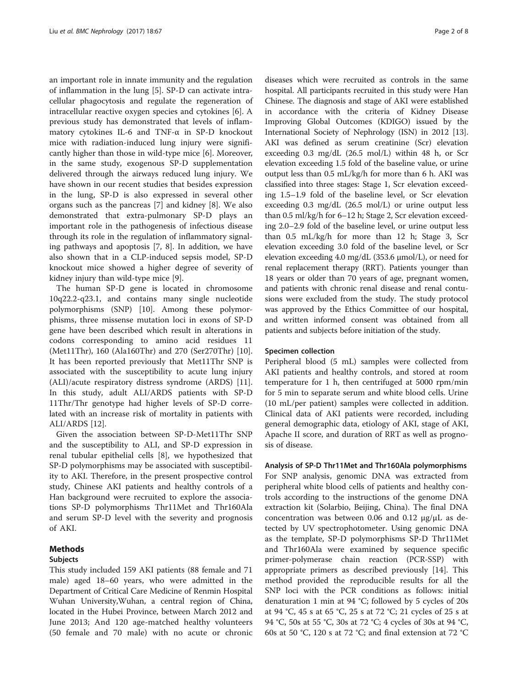an important role in innate immunity and the regulation of inflammation in the lung [[5\]](#page-6-0). SP-D can activate intracellular phagocytosis and regulate the regeneration of intracellular reactive oxygen species and cytokines [\[6](#page-6-0)]. A previous study has demonstrated that levels of inflammatory cytokines IL-6 and TNF-α in SP-D knockout mice with radiation-induced lung injury were significantly higher than those in wild-type mice [[6\]](#page-6-0). Moreover, in the same study, exogenous SP-D supplementation delivered through the airways reduced lung injury. We have shown in our recent studies that besides expression in the lung, SP-D is also expressed in several other organs such as the pancreas [[7\]](#page-6-0) and kidney [\[8](#page-6-0)]. We also demonstrated that extra-pulmonary SP-D plays an important role in the pathogenesis of infectious disease through its role in the regulation of inflammatory signaling pathways and apoptosis [\[7](#page-6-0), [8](#page-6-0)]. In addition, we have also shown that in a CLP-induced sepsis model, SP-D knockout mice showed a higher degree of severity of kidney injury than wild-type mice [\[9\]](#page-6-0).

The human SP-D gene is located in chromosome 10q22.2-q23.1, and contains many single nucleotide polymorphisms (SNP) [[10\]](#page-6-0). Among these polymorphisms, three missense mutation loci in exons of SP-D gene have been described which result in alterations in codons corresponding to amino acid residues 11 (Met11Thr), 160 (Ala160Thr) and 270 (Ser270Thr) [\[10](#page-6-0)]. It has been reported previously that Met11Thr SNP is associated with the susceptibility to acute lung injury (ALI)/acute respiratory distress syndrome (ARDS) [\[11](#page-6-0)]. In this study, adult ALI/ARDS patients with SP-D 11Thr/Thr genotype had higher levels of SP-D correlated with an increase risk of mortality in patients with ALI/ARDS [\[12](#page-6-0)].

Given the association between SP-D-Met11Thr SNP and the susceptibility to ALI, and SP-D expression in renal tubular epithelial cells [[8\]](#page-6-0), we hypothesized that SP-D polymorphisms may be associated with susceptibility to AKI. Therefore, in the present prospective control study, Chinese AKI patients and healthy controls of a Han background were recruited to explore the associations SP-D polymorphisms Thr11Met and Thr160Ala and serum SP-D level with the severity and prognosis of AKI.

#### Methods

#### Subjects

This study included 159 AKI patients (88 female and 71 male) aged 18–60 years, who were admitted in the Department of Critical Care Medicine of Renmin Hospital Wuhan University,Wuhan, a central region of China, located in the Hubei Province, between March 2012 and June 2013; And 120 age-matched healthy volunteers (50 female and 70 male) with no acute or chronic

diseases which were recruited as controls in the same hospital. All participants recruited in this study were Han Chinese. The diagnosis and stage of AKI were established in accordance with the criteria of Kidney Disease Improving Global Outcomes (KDIGO) issued by the International Society of Nephrology (ISN) in 2012 [[13](#page-6-0)]. AKI was defined as serum creatinine (Scr) elevation exceeding 0.3 mg/dL (26.5 mol/L) within 48 h, or Scr elevation exceeding 1.5 fold of the baseline value, or urine output less than 0.5 mL/kg/h for more than 6 h. AKI was classified into three stages: Stage 1, Scr elevation exceeding 1.5–1.9 fold of the baseline level, or Scr elevation exceeding 0.3 mg/dL (26.5 mol/L) or urine output less than 0.5 ml/kg/h for 6–12 h; Stage 2, Scr elevation exceeding 2.0–2.9 fold of the baseline level, or urine output less than 0.5 mL/kg/h for more than 12 h; Stage 3, Scr elevation exceeding 3.0 fold of the baseline level, or Scr elevation exceeding 4.0 mg/dL (353.6 μmol/L), or need for renal replacement therapy (RRT). Patients younger than 18 years or older than 70 years of age, pregnant women, and patients with chronic renal disease and renal contusions were excluded from the study. The study protocol was approved by the Ethics Committee of our hospital, and written informed consent was obtained from all patients and subjects before initiation of the study.

#### Specimen collection

Peripheral blood (5 mL) samples were collected from AKI patients and healthy controls, and stored at room temperature for 1 h, then centrifuged at 5000 rpm/min for 5 min to separate serum and white blood cells. Urine (10 mL/per patient) samples were collected in addition. Clinical data of AKI patients were recorded, including general demographic data, etiology of AKI, stage of AKI, Apache II score, and duration of RRT as well as prognosis of disease.

Analysis of SP-D Thr11Met and Thr160Ala polymorphisms For SNP analysis, genomic DNA was extracted from peripheral white blood cells of patients and healthy controls according to the instructions of the genome DNA extraction kit (Solarbio, Beijing, China). The final DNA concentration was between 0.06 and 0.12 μg/μL as detected by UV spectrophotometer. Using genomic DNA as the template, SP-D polymorphisms SP-D Thr11Met and Thr160Ala were examined by sequence specific primer-polymerase chain reaction (PCR-SSP) with appropriate primers as described previously [\[14](#page-6-0)]. This method provided the reproducible results for all the SNP loci with the PCR conditions as follows: initial denaturation 1 min at 94 °C; followed by 5 cycles of 20s at 94 °C, 45 s at 65 °C, 25 s at 72 °C; 21 cycles of 25 s at 94 °C, 50s at 55 °C, 30s at 72 °C; 4 cycles of 30s at 94 °C, 60s at 50 °C, 120 s at 72 °C; and final extension at 72 °C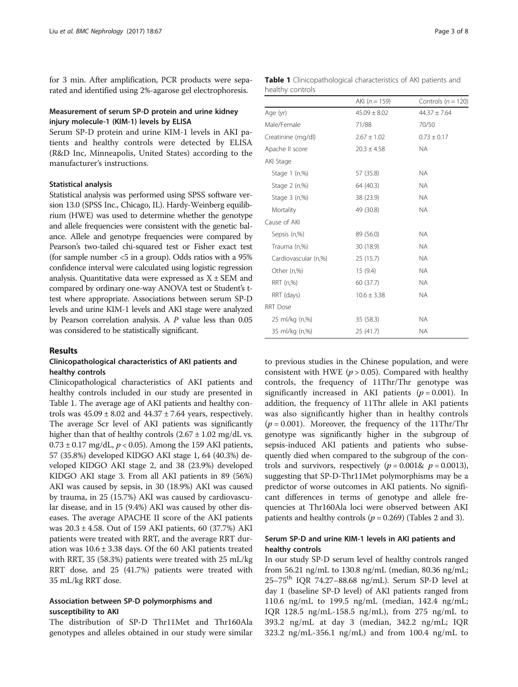for 3 min. After amplification, PCR products were separated and identified using 2%-agarose gel electrophoresis.

#### Measurement of serum SP-D protein and urine kidney injury molecule-1 (KIM-1) levels by ELISA

Serum SP-D protein and urine KIM-1 levels in AKI patients and healthy controls were detected by ELISA (R&D Inc, Minneapolis, United States) according to the manufacturer's instructions.

#### Statistical analysis

Statistical analysis was performed using SPSS software version 13.0 (SPSS Inc., Chicago, IL). Hardy-Weinberg equilibrium (HWE) was used to determine whether the genotype and allele frequencies were consistent with the genetic balance. Allele and genotype frequencies were compared by Pearson's two-tailed chi-squared test or Fisher exact test (for sample number <5 in a group). Odds ratios with a 95% confidence interval were calculated using logistic regression analysis. Quantitative data were expressed as  $X \pm SEM$  and compared by ordinary one-way ANOVA test or Student's ttest where appropriate. Associations between serum SP-D levels and urine KIM-1 levels and AKI stage were analyzed by Pearson correlation analysis. A P value less than 0.05 was considered to be statistically significant.

#### Results

#### Clinicopathological characteristics of AKI patients and healthy controls

Clinicopathological characteristics of AKI patients and healthy controls included in our study are presented in Table 1. The average age of AKI patients and healthy controls was  $45.09 \pm 8.02$  and  $44.37 \pm 7.64$  years, respectively. The average Scr level of AKI patients was significantly higher than that of healthy controls  $(2.67 \pm 1.02 \text{ mg/dL vs.})$  $0.73 \pm 0.17$  mg/dL,  $p < 0.05$ ). Among the 159 AKI patients, 57 (35.8%) developed KIDGO AKI stage 1, 64 (40.3%) developed KIDGO AKI stage 2, and 38 (23.9%) developed KIDGO AKI stage 3. From all AKI patients in 89 (56%) AKI was caused by sepsis, in 30 (18.9%) AKI was caused by trauma, in 25 (15.7%) AKI was caused by cardiovascular disease, and in 15 (9.4%) AKI was caused by other diseases. The average APACHE II score of the AKI patients was 20.3 ± 4.58. Out of 159 AKI patients, 60 (37.7%) AKI patients were treated with RRT, and the average RRT duration was  $10.6 \pm 3.38$  days. Of the 60 AKI patients treated with RRT, 35 (58.3%) patients were treated with 25 mL/kg RRT dose, and 25 (41.7%) patients were treated with 35 mL/kg RRT dose.

#### Association between SP-D polymorphisms and susceptibility to AKI

The distribution of SP-D Thr11Met and Thr160Ala genotypes and alleles obtained in our study were similar

|                  | <b>Table 1</b> Clinicopathological characteristics of AKI patients and |  |  |
|------------------|------------------------------------------------------------------------|--|--|
| healthy controls |                                                                        |  |  |

|                      | AKI $(n = 159)$  | Controls $(n = 120)$ |
|----------------------|------------------|----------------------|
| Age (yr)             | $45.09 \pm 8.02$ | $44.37 \pm 7.64$     |
| Male/Female          | 71/88            | 70/50                |
| Creatinine (mg/dl)   | $2.67 \pm 1.02$  | $0.73 \pm 0.17$      |
| Apache II score      | $20.3 \pm 4.58$  | <b>NA</b>            |
| AKI Stage            |                  |                      |
| Stage $1$ (n,%)      | 57 (35.8)        | NA.                  |
| Stage $2$ (n,%)      | 64 (40.3)        | <b>NA</b>            |
| Stage 3 (n,%)        | 38 (23.9)        | <b>NA</b>            |
| Mortality            | 49 (30.8)        | <b>NA</b>            |
| Cause of AKI         |                  |                      |
| Sepsis (n,%)         | 89 (56.0)        | NA.                  |
| Trauma (n,%)         | 30 (18.9)        | <b>NA</b>            |
| Cardiovascular (n,%) | 25 (15.7)        | NA.                  |
| Other (n,%)          | 15(9.4)          | <b>NA</b>            |
| RRT (n,%)            | 60 (37.7)        | <b>NA</b>            |
| RRT (days)           | $10.6 \pm 3.38$  | <b>NA</b>            |
| <b>RRT Dose</b>      |                  |                      |
| 25 ml/kg (n,%)       | 35 (58.3)        | <b>NA</b>            |
| 35 ml/kg (n,%)       | 25 (41.7)        | <b>NA</b>            |

to previous studies in the Chinese population, and were consistent with HWE ( $p > 0.05$ ). Compared with healthy controls, the frequency of 11Thr/Thr genotype was significantly increased in AKI patients  $(p = 0.001)$ . In addition, the frequency of 11Thr allele in AKI patients was also significantly higher than in healthy controls  $(p = 0.001)$ . Moreover, the frequency of the 11Thr/Thr genotype was significantly higher in the subgroup of sepsis-induced AKI patients and patients who subsequently died when compared to the subgroup of the controls and survivors, respectively  $(p = 0.001\& p = 0.0013)$ , suggesting that SP-D-Thr11Met polymorphisms may be a predictor of worse outcomes in AKI patients. No significant differences in terms of genotype and allele frequencies at Thr160Ala loci were observed between AKI patients and healthy controls ( $p = 0.269$ ) (Tables [2](#page-3-0) and [3\)](#page-3-0).

#### Serum SP-D and urine KIM-1 levels in AKI patients and healthy controls

In our study SP-D serum level of healthy controls ranged from 56.21 ng/mL to 130.8 ng/mL (median, 80.36 ng/mL; 25–75th IQR 74.27–88.68 ng/mL). Serum SP-D level at day 1 (baseline SP-D level) of AKI patients ranged from 110.6 ng/mL to 199.5 ng/mL (median, 142.4 ng/mL; IQR 128.5 ng/mL-158.5 ng/mL), from 275 ng/mL to 393.2 ng/mL at day 3 (median, 342.2 ng/mL; IQR 323.2 ng/mL-356.1 ng/mL) and from 100.4 ng/mL to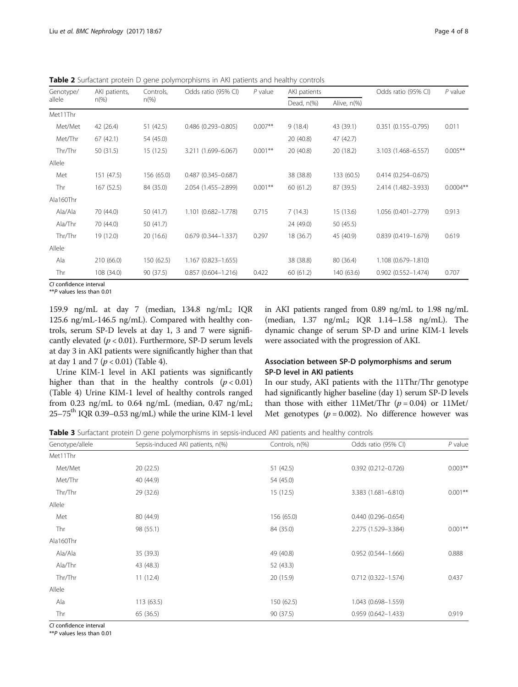<span id="page-3-0"></span>**Table 2** Surfactant protein D gene polymorphisms in AKI patients and healthy controls

| Genotype/ | AKI patients, | Controls,  | Odds ratio (95% CI)    | $P$ value  | AKI patients |             | Odds ratio (95% CI)       | $P$ value  |
|-----------|---------------|------------|------------------------|------------|--------------|-------------|---------------------------|------------|
| allele    | $n\%$         | $n\%$      |                        |            | Dead, n(%)   | Alive, n(%) |                           |            |
| Met11Thr  |               |            |                        |            |              |             |                           |            |
| Met/Met   | 42 (26.4)     | 51 (42.5)  | $0.486(0.293 - 0.805)$ | $0.007**$  | 9(18.4)      | 43 (39.1)   | $0.351(0.155 - 0.795)$    | 0.011      |
| Met/Thr   | 67(42.1)      | 54 (45.0)  |                        |            | 20 (40.8)    | 47 (42.7)   |                           |            |
| Thr/Thr   | 50 (31.5)     | 15(12.5)   | 3.211 (1.699-6.067)    | $0.001***$ | 20 (40.8)    | 20 (18.2)   | 3.103 (1.468-6.557)       | $0.005***$ |
| Allele    |               |            |                        |            |              |             |                           |            |
| Met       | 151 (47.5)    | 156 (65.0) | $0.487(0.345 - 0.687)$ |            | 38 (38.8)    | 133 (60.5)  | $0.414(0.254 - 0.675)$    |            |
| Thr       | 167(52.5)     | 84 (35.0)  | 2.054 (1.455-2.899)    | $0.001***$ | 60(61.2)     | 87 (39.5)   | 2.414 (1.482-3.933)       | $0.0004**$ |
| Ala160Thr |               |            |                        |            |              |             |                           |            |
| Ala/Ala   | 70 (44.0)     | 50 (41.7)  | 1.101 (0.682-1.778)    | 0.715      | 7(14.3)      | 15(13.6)    | 1.056 (0.401-2.779)       | 0.913      |
| Ala/Thr   | 70 (44.0)     | 50 (41.7)  |                        |            | 24 (49.0)    | 50 (45.5)   |                           |            |
| Thr/Thr   | 19 (12.0)     | 20(16.6)   | $0.679(0.344 - 1.337)$ | 0.297      | 18 (36.7)    | 45 (40.9)   | $0.839(0.419 - 1.679)$    | 0.619      |
| Allele    |               |            |                        |            |              |             |                           |            |
| Ala       | 210(66.0)     | 150 (62.5) | $1.167(0.823 - 1.655)$ |            | 38 (38.8)    | 80 (36.4)   | 1.108 (0.679-1.810)       |            |
| Thr       | 108 (34.0)    | 90 (37.5)  | $0.857(0.604 - 1.216)$ | 0.422      | 60 (61.2)    | 140(63.6)   | $0.902$ $(0.552 - 1.474)$ | 0.707      |

CI confidence interval

\*\*P values less than 0.01

159.9 ng/mL at day 7 (median, 134.8 ng/mL; IQR 125.6 ng/mL-146.5 ng/mL). Compared with healthy controls, serum SP-D levels at day 1, 3 and 7 were significantly elevated  $(p < 0.01)$ . Furthermore, SP-D serum levels at day 3 in AKI patients were significantly higher than that at day 1 and 7 ( $p < 0.01$ ) (Table [4](#page-4-0)).

Urine KIM-1 level in AKI patients was significantly higher than that in the healthy controls  $(p < 0.01)$ (Table [4](#page-4-0)) Urine KIM-1 level of healthy controls ranged from 0.23 ng/mL to 0.64 ng/mL (median, 0.47 ng/mL;  $25-75$ <sup>th</sup> IQR 0.39-0.53 ng/mL) while the urine KIM-1 level

in AKI patients ranged from 0.89 ng/mL to 1.98 ng/mL (median, 1.37 ng/mL; IQR 1.14–1.58 ng/mL). The dynamic change of serum SP-D and urine KIM-1 levels were associated with the progression of AKI.

# Association between SP-D polymorphisms and serum SP-D level in AKI patients

In our study, AKI patients with the 11Thr/Thr genotype had significantly higher baseline (day 1) serum SP-D levels than those with either  $11$ Met/Thr ( $p = 0.04$ ) or  $11$ Met/ Met genotypes ( $p = 0.002$ ). No difference however was

Table 3 Surfactant protein D gene polymorphisms in sepsis-induced AKI patients and healthy controls

| Genotype/allele | Sepsis-induced AKI patients, n(%) | Controls, n(%) | Odds ratio (95% CI)    | $P$ value  |  |
|-----------------|-----------------------------------|----------------|------------------------|------------|--|
| Met11Thr        |                                   |                |                        |            |  |
| Met/Met         | 20(22.5)                          | 51(42.5)       | $0.392(0.212 - 0.726)$ | $0.003**$  |  |
| Met/Thr         | 40 (44.9)                         | 54 (45.0)      |                        |            |  |
| Thr/Thr         | 29 (32.6)                         | 15(12.5)       | 3.383 (1.681-6.810)    | $0.001***$ |  |
| Allele          |                                   |                |                        |            |  |
| Met             | 80 (44.9)                         | 156 (65.0)     | $0.440(0.296 - 0.654)$ |            |  |
| Thr             | 98 (55.1)                         | 84 (35.0)      | 2.275 (1.529-3.384)    | $0.001***$ |  |
| Ala160Thr       |                                   |                |                        |            |  |
| Ala/Ala         | 35 (39.3)                         | 49 (40.8)      | $0.952(0.544 - 1.666)$ | 0.888      |  |
| Ala/Thr         | 43 (48.3)                         | 52 (43.3)      |                        |            |  |
| Thr/Thr         | 11(12.4)                          | 20 (15.9)      | $0.712(0.322 - 1.574)$ | 0.437      |  |
| Allele          |                                   |                |                        |            |  |
| Ala             | 113(63.5)                         | 150 (62.5)     | 1.043 (0.698-1.559)    |            |  |
| Thr             | 65 (36.5)                         | 90 (37.5)      | $0.959(0.642 - 1.433)$ | 0.919      |  |

CI confidence interval

\*\*P values less than 0.01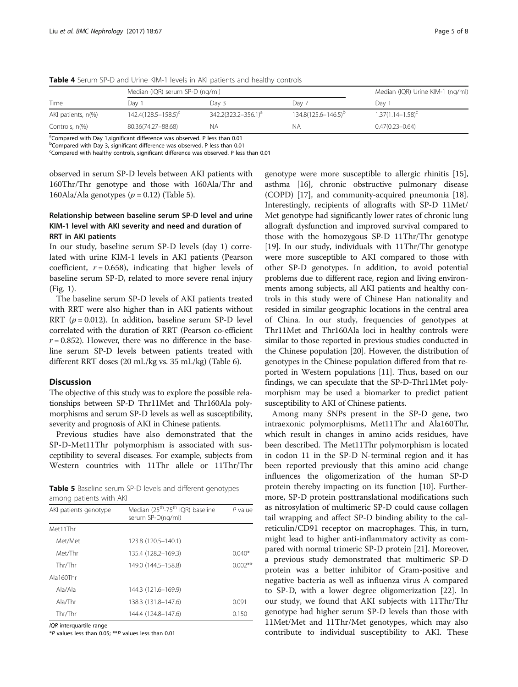|                    | Median (IQR) serum SP-D (ng/ml) | Median (IQR) Urine KIM-1 (ng/ml) |                                 |                         |
|--------------------|---------------------------------|----------------------------------|---------------------------------|-------------------------|
| Time               | Day 1                           | Day 3                            | Dav 7                           | Dav i                   |
| AKI patients, n(%) | $142.4(128.5 - 158.5)^{c}$      | 342.2(323.2–356.1) <sup>a</sup>  | 134.8(125.6–146.5) <sup>b</sup> | $1.37(1.14 - 1.58)^{c}$ |
| Controls, n(%)     | 80.36(74.27-88.68)              | ΝA                               | ΝA                              | $0.47(0.23 - 0.64)$     |

<span id="page-4-0"></span>Table 4 Serum SP-D and Urine KIM-1 levels in AKI patients and healthy controls

<sup>a</sup>Compared with Day 1, significant difference was observed. P less than 0.01

<sup>b</sup>Compared with Day 3, significant difference was observed. P less than 0.01

Compared with healthy controls, significant difference was observed. P less than 0.01

observed in serum SP-D levels between AKI patients with 160Thr/Thr genotype and those with 160Ala/Thr and 160Ala/Ala genotypes ( $p = 0.12$ ) (Table 5).

### Relationship between baseline serum SP-D level and urine KIM-1 level with AKI severity and need and duration of RRT in AKI patients

In our study, baseline serum SP-D levels (day 1) correlated with urine KIM-1 levels in AKI patients (Pearson coefficient,  $r = 0.658$ ), indicating that higher levels of baseline serum SP-D, related to more severe renal injury (Fig. [1](#page-5-0)).

The baseline serum SP-D levels of AKI patients treated with RRT were also higher than in AKI patients without RRT ( $p = 0.012$ ). In addition, baseline serum SP-D level correlated with the duration of RRT (Pearson co-efficient  $r = 0.852$ ). However, there was no difference in the baseline serum SP-D levels between patients treated with different RRT doses (20 mL/kg vs. 35 mL/kg) (Table [6](#page-5-0)).

#### **Discussion**

The objective of this study was to explore the possible relationships between SP-D Thr11Met and Thr160Ala polymorphisms and serum SP-D levels as well as susceptibility, severity and prognosis of AKI in Chinese patients.

Previous studies have also demonstrated that the SP-D-Met11Thr polymorphism is associated with susceptibility to several diseases. For example, subjects from Western countries with 11Thr allele or 11Thr/Thr

Table 5 Baseline serum SP-D levels and different genotypes among patients with AKI

| AKI patients genotype | Median (25 <sup>th</sup> -75 <sup>th</sup> IQR) baseline<br>serum SP-D(ng/ml) | $P$ value  |  |  |  |  |  |
|-----------------------|-------------------------------------------------------------------------------|------------|--|--|--|--|--|
| Met11Thr              |                                                                               |            |  |  |  |  |  |
| Met/Met               | 123.8 (120.5-140.1)                                                           |            |  |  |  |  |  |
| Met/Thr               | 135.4 (128.2–169.3)                                                           | $0.040*$   |  |  |  |  |  |
| Thr/Thr               | 149.0 (144.5–158.8)                                                           | $0.002***$ |  |  |  |  |  |
| Ala160Thr             |                                                                               |            |  |  |  |  |  |
| Ala/Ala               | 144.3 (121.6-169.9)                                                           |            |  |  |  |  |  |
| Ala/Thr               | 138.3 (131.8-147.6)                                                           | 0.091      |  |  |  |  |  |
| Thr/Thr               | 144.4 (124.8–147.6)                                                           | 0.150      |  |  |  |  |  |

*IQR* interquartile range<br>\*P values less than 0.0!

\*P values less than 0.05; \*\*P values less than 0.01

genotype were more susceptible to allergic rhinitis [[15](#page-6-0)], asthma [[16\]](#page-6-0), chronic obstructive pulmonary disease (COPD) [[17\]](#page-7-0), and community-acquired pneumonia [[18](#page-7-0)]. Interestingly, recipients of allografts with SP-D 11Met/ Met genotype had significantly lower rates of chronic lung allograft dysfunction and improved survival compared to those with the homozygous SP-D 11Thr/Thr genotype [[19](#page-7-0)]. In our study, individuals with 11Thr/Thr genotype were more susceptible to AKI compared to those with other SP-D genotypes. In addition, to avoid potential problems due to different race, region and living environments among subjects, all AKI patients and healthy controls in this study were of Chinese Han nationality and resided in similar geographic locations in the central area of China. In our study, frequencies of genotypes at Thr11Met and Thr160Ala loci in healthy controls were similar to those reported in previous studies conducted in the Chinese population [[20](#page-7-0)]. However, the distribution of genotypes in the Chinese population differed from that reported in Western populations [[11](#page-6-0)]. Thus, based on our findings, we can speculate that the SP-D-Thr11Met polymorphism may be used a biomarker to predict patient susceptibility to AKI of Chinese patients.

Among many SNPs present in the SP-D gene, two intraexonic polymorphisms, Met11Thr and Ala160Thr, which result in changes in amino acids residues, have been described. The Met11Thr polymorphism is located in codon 11 in the SP-D N-terminal region and it has been reported previously that this amino acid change influences the oligomerization of the human SP-D protein thereby impacting on its function [[10](#page-6-0)]. Furthermore, SP-D protein posttranslational modifications such as nitrosylation of multimeric SP-D could cause collagen tail wrapping and affect SP-D binding ability to the calreticulin/CD91 receptor on macrophages. This, in turn, might lead to higher anti-inflammatory activity as compared with normal trimeric SP-D protein [\[21\]](#page-7-0). Moreover, a previous study demonstrated that multimeric SP-D protein was a better inhibitor of Gram-positive and negative bacteria as well as influenza virus A compared to SP-D, with a lower degree oligomerization [[22\]](#page-7-0). In our study, we found that AKI subjects with 11Thr/Thr genotype had higher serum SP-D levels than those with 11Met/Met and 11Thr/Met genotypes, which may also contribute to individual susceptibility to AKI. These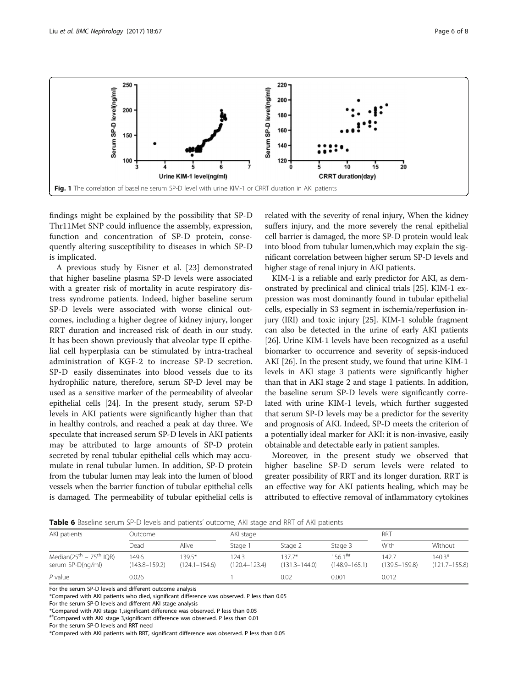<span id="page-5-0"></span>

findings might be explained by the possibility that SP-D Thr11Met SNP could influence the assembly, expression, function and concentration of SP-D protein, consequently altering susceptibility to diseases in which SP-D is implicated.

A previous study by Eisner et al. [[23](#page-7-0)] demonstrated that higher baseline plasma SP-D levels were associated with a greater risk of mortality in acute respiratory distress syndrome patients. Indeed, higher baseline serum SP-D levels were associated with worse clinical outcomes, including a higher degree of kidney injury, longer RRT duration and increased risk of death in our study. It has been shown previously that alveolar type II epithelial cell hyperplasia can be stimulated by intra-tracheal administration of KGF-2 to increase SP-D secretion. SP-D easily disseminates into blood vessels due to its hydrophilic nature, therefore, serum SP-D level may be used as a sensitive marker of the permeability of alveolar epithelial cells [[24\]](#page-7-0). In the present study, serum SP-D levels in AKI patients were significantly higher than that in healthy controls, and reached a peak at day three. We speculate that increased serum SP-D levels in AKI patients may be attributed to large amounts of SP-D protein secreted by renal tubular epithelial cells which may accumulate in renal tubular lumen. In addition, SP-D protein from the tubular lumen may leak into the lumen of blood vessels when the barrier function of tubular epithelial cells is damaged. The permeability of tubular epithelial cells is

related with the severity of renal injury, When the kidney suffers injury, and the more severely the renal epithelial cell barrier is damaged, the more SP-D protein would leak into blood from tubular lumen,which may explain the significant correlation between higher serum SP-D levels and higher stage of renal injury in AKI patients.

KIM-1 is a reliable and early predictor for AKI, as demonstrated by preclinical and clinical trials [[25\]](#page-7-0). KIM-1 expression was most dominantly found in tubular epithelial cells, especially in S3 segment in ischemia/reperfusion injury (IRI) and toxic injury [\[25\]](#page-7-0). KIM-1 soluble fragment can also be detected in the urine of early AKI patients [[26](#page-7-0)]. Urine KIM-1 levels have been recognized as a useful biomarker to occurrence and severity of sepsis-induced AKI [\[26\]](#page-7-0). In the present study, we found that urine KIM-1 levels in AKI stage 3 patients were significantly higher than that in AKI stage 2 and stage 1 patients. In addition, the baseline serum SP-D levels were significantly correlated with urine KIM-1 levels, which further suggested that serum SP-D levels may be a predictor for the severity and prognosis of AKI. Indeed, SP-D meets the criterion of a potentially ideal marker for AKI: it is non-invasive, easily obtainable and detectable early in patient samples.

Moreover, in the present study we observed that higher baseline SP-D serum levels were related to greater possibility of RRT and its longer duration. RRT is an effective way for AKI patients healing, which may be attributed to effective removal of inflammatory cytokines

**Table 6** Baseline serum SP-D levels and patients' outcome, AKI stage and RRT of AKI patients

| AKI patients                                                          | Outcome                |                             | AKI stage                 |                              |                                            | RRT                       |                               |
|-----------------------------------------------------------------------|------------------------|-----------------------------|---------------------------|------------------------------|--------------------------------------------|---------------------------|-------------------------------|
|                                                                       | Dead                   | Alive                       | Stage 1                   | Stage 2                      | Stage 3                                    | With                      | Without                       |
| Median( $25^{\text{th}}$ – 75 <sup>th</sup> IQR)<br>serum SP-D(ng/ml) | 149.6<br>(143.8–159.2) | 139.5*<br>$(124.1 - 154.6)$ | 24.3<br>$(120.4 - 123.4)$ | $1377*$<br>$(131.3 - 144.0)$ | $156.1$ <sup>##</sup><br>$(148.9 - 165.1)$ | 1427<br>$(139.5 - 159.8)$ | $140.3*$<br>$(121.7 - 155.8)$ |
| P value                                                               | 0.026                  |                             |                           | 0.02                         | 0.001                                      | 0.012                     |                               |

For the serum SP-D levels and different outcome analysis

\*Compared with AKI patients who died, significant difference was observed. P less than 0.05

For the serum SP-D levels and different AKI stage analysis

\*Compared with AKI stage 1,significant difference was observed. P less than 0.05

##Compared with AKI stage 3,significant difference was observed. P less than 0.01

For the serum SP-D levels and RRT need

\*Compared with AKI patients with RRT, significant difference was observed. P less than 0.05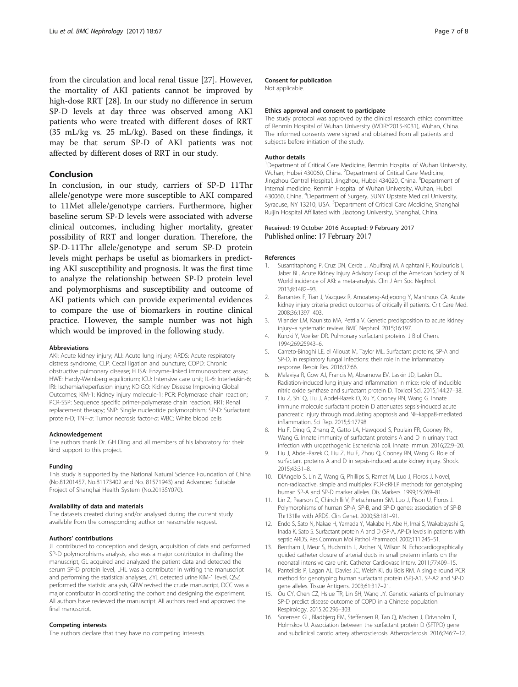<span id="page-6-0"></span>from the circulation and local renal tissue [\[27](#page-7-0)]. However, the mortality of AKI patients cannot be improved by high-dose RRT [[28](#page-7-0)]. In our study no difference in serum SP-D levels at day three was observed among AKI patients who were treated with different doses of RRT (35 mL/kg vs. 25 mL/kg). Based on these findings, it may be that serum SP-D of AKI patients was not affected by different doses of RRT in our study.

# Conclusion

In conclusion, in our study, carriers of SP-D 11Thr allele/genotype were more susceptible to AKI compared to 11Met allele/genotype carriers. Furthermore, higher baseline serum SP-D levels were associated with adverse clinical outcomes, including higher mortality, greater possibility of RRT and longer duration. Therefore, the SP-D-11Thr allele/genotype and serum SP-D protein levels might perhaps be useful as biomarkers in predicting AKI susceptibility and prognosis. It was the first time to analyze the relationship between SP-D protein level and polymorphisms and susceptibility and outcome of AKI patients which can provide experimental evidences to compare the use of biomarkers in routine clinical practice. However, the sample number was not high which would be improved in the following study.

#### Abbreviations

AKI: Acute kidney injury; ALI: Acute lung injury; ARDS: Acute respiratory distress syndrome; CLP: Cecal ligation and puncture; COPD: Chronic obstructive pulmonary disease; ELISA: Enzyme-linked immunosorbent assay; HWE: Hardy-Weinberg equilibrium; ICU: Intensive care unit; IL-6: Interleukin-6; IRI: Ischemia/reperfusion injury; KDIGO: Kidney Disease Improving Global Outcomes; KIM-1: Kidney injury molecule-1; PCR: Polymerase chain reaction; PCR-SSP: Sequence specific primer-polymerase chain reaction; RRT: Renal replacement therapy; SNP: Single nucleotide polymorphism; SP-D: Surfactant protein-D; TNF-α: Tumor necrosis factor-α; WBC: White blood cells

#### Acknowledgement

The authors thank Dr. GH Ding and all members of his laboratory for their kind support to this project.

#### Funding

This study is supported by the National Natural Science Foundation of China (No.81201457, No.81173402 and No. 81571943) and Advanced Suitable Project of Shanghai Health System (No.2013SY070).

#### Availability of data and materials

The datasets created during and/or analysed during the current study available from the corresponding author on reasonable request.

#### Authors' contributions

JL contributed to conception and design, acquisition of data and performed SP-D polymorphisms analysis, also was a major contributor in drafting the manuscript, GL acquired and analyzed the patient data and detected the serum SP-D protein level, LHL was a contributor in writing the manuscript and performing the statistical analyses, ZYL detected urine KIM-1 level, QSZ performed the statistic analysis, GRW revised the crude manuscript, DCC was a major contributor in coordinating the corhort and designing the experiment. All authors have reviewed the manuscript. All authors read and approved the final manuscript.

#### Competing interests

The authors declare that they have no competing interests.

#### Consent for publication

Not applicable.

#### Ethics approval and consent to participate

The study protocol was approved by the clinical research ethics committee of Renmin Hospital of Wuhan University (WDRY2015-K031), Wuhan, China. The informed consents were signed and obtained from all patients and subjects before initiation of the study.

#### Author details

<sup>1</sup>Department of Critical Care Medicine, Renmin Hospital of Wuhan University Wuhan, Hubei 430060, China. <sup>2</sup>Department of Critical Care Medicine, Jingzhou Central Hospital, Jingzhou, Hubei 434020, China. <sup>3</sup>Department of Internal medicine, Renmin Hospital of Wuhan University, Wuhan, Hubei 430060, China. <sup>4</sup>Department of Surgery, SUNY Upstate Medical University Syracuse, NY 13210, USA. <sup>5</sup>Department of Critical Care Medicine, Shanghai Ruijin Hospital Affiliated with Jiaotong University, Shanghai, China.

#### Received: 19 October 2016 Accepted: 9 February 2017 Published online: 17 February 2017

#### References

- 1. Susantitaphong P, Cruz DN, Cerda J, Abulfaraj M, Alqahtani F, Koulouridis I, Jaber BL, Acute Kidney Injury Advisory Group of the American Society of N. World incidence of AKI: a meta-analysis. Clin J Am Soc Nephrol. 2013;8:1482–93.
- 2. Barrantes F, Tian J, Vazquez R, Amoateng-Adjepong Y, Manthous CA. Acute kidney injury criteria predict outcomes of critically ill patients. Crit Care Med. 2008;36:1397–403.
- 3. Vilander LM, Kaunisto MA, Pettila V. Genetic predisposition to acute kidney injury–a systematic review. BMC Nephrol. 2015;16:197.
- 4. Kuroki Y, Voelker DR. Pulmonary surfactant proteins. J Biol Chem. 1994;269:25943–6.
- 5. Carreto-Binaghi LE, el Aliouat M, Taylor ML. Surfactant proteins, SP-A and SP-D, in respiratory fungal infections: their role in the inflammatory response. Respir Res. 2016;17:66.
- 6. Malaviya R, Gow AJ, Francis M, Abramova EV, Laskin JD, Laskin DL. Radiation-induced lung injury and inflammation in mice: role of inducible nitric oxide synthase and surfactant protein D. Toxicol Sci. 2015;144:27–38.
- Liu Z, Shi Q, Liu J, Abdel-Razek O, Xu Y, Cooney RN, Wang G. Innate immune molecule surfactant protein D attenuates sepsis-induced acute pancreatic injury through modulating apoptosis and NF-kappaB-mediated inflammation. Sci Rep. 2015;5:17798.
- 8. Hu F, Ding G, Zhang Z, Gatto LA, Hawgood S, Poulain FR, Cooney RN, Wang G. Innate immunity of surfactant proteins A and D in urinary tract infection with uropathogenic Escherichia coli. Innate Immun. 2016;22:9–20.
- 9. Liu J, Abdel-Razek O, Liu Z, Hu F, Zhou Q, Cooney RN, Wang G. Role of surfactant proteins A and D in sepsis-induced acute kidney injury. Shock. 2015;43:31–8.
- 10. DiAngelo S, Lin Z, Wang G, Phillips S, Ramet M, Luo J, Floros J. Novel, non-radioactive, simple and multiplex PCR-cRFLP methods for genotyping human SP-A and SP-D marker alleles. Dis Markers. 1999;15:269–81.
- 11. Lin Z, Pearson C, Chinchilli V, Pietschmann SM, Luo J, Pison U, Floros J. Polymorphisms of human SP-A, SP-B, and SP-D genes: association of SP-B Thr131Ile with ARDS. Clin Genet. 2000;58:181–91.
- 12. Endo S, Sato N, Nakae H, Yamada Y, Makabe H, Abe H, Imai S, Wakabayashi G, Inada K, Sato S. Surfactant protein A and D (SP-A, AP-D) levels in patients with septic ARDS. Res Commun Mol Pathol Pharmacol. 2002;111:245–51.
- 13. Bentham J, Meur S, Hudsmith L, Archer N, Wilson N. Echocardiographically guided catheter closure of arterial ducts in small preterm infants on the neonatal intensive care unit. Catheter Cardiovasc Interv. 2011;77:409–15.
- 14. Pantelidis P, Lagan AL, Davies JC, Welsh KI, du Bois RM. A single round PCR method for genotyping human surfactant protein (SP)-A1, SP-A2 and SP-D gene alleles. Tissue Antigens. 2003;61:317–21.
- 15. Ou CY, Chen CZ, Hsiue TR, Lin SH, Wang JY. Genetic variants of pulmonary SP-D predict disease outcome of COPD in a Chinese population. Respirology. 2015;20:296–303.
- 16. Sorensen GL, Bladbjerg EM, Steffensen R, Tan Q, Madsen J, Drivsholm T, Holmskov U. Association between the surfactant protein D (SFTPD) gene and subclinical carotid artery atherosclerosis. Atherosclerosis. 2016;246:7–12.